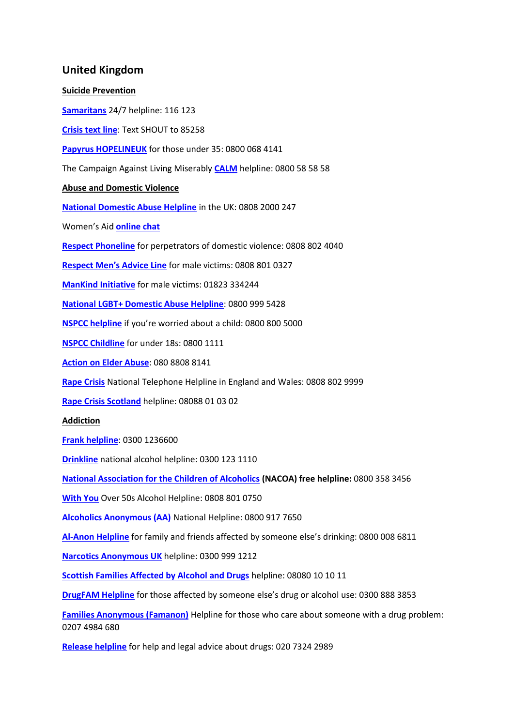## **United Kingdom**

## **Suicide Prevention**

**[Samaritans](https://www.samaritans.org/how-we-can-help-you/contact-us)** 24/7 helpline: 116 123

**[Crisis text line](https://giveusashout.org/)**: Text SHOUT to 85258

**[Papyrus HOPELINEUK](https://www.papyrus-uk.org/)** for those under 35: 0800 068 4141

The Campaign Against Living Miserably **[CALM](https://www.thecalmzone.net/help/get-help/)** helpline: 0800 58 58 58

## **Abuse and Domestic Violence**

**[National Domestic Abuse Helpline](https://www.nationaldahelpline.org.uk/)** in the UK: 0808 2000 247

Women's Aid **[online chat](https://chat.womensaid.org.uk/)**

**[Respect Phoneline](https://respectphoneline.org.uk/)** for perpetrators of domestic violence: 0808 802 4040

**[Respect Men's Advice Line](https://mensadviceline.org.uk/)** for male victims: 0808 801 0327

**[ManKind Initiative](http://www.mankind.org.uk/)** for male victims: 01823 334244

**[National LGBT+ Domestic Abuse Helpline](https://galop.org.uk/)**: 0800 999 5428

**[NSPCC helpline](http://www.nspcc.org.uk/default.html)** if you're worried about a child: 0800 800 5000

**[NSPCC Childline](https://www.nspcc.org.uk/)** for under 18s: 0800 1111

**[Action on Elder Abuse](http://www.elderabuse.org.uk/)**: 080 8808 8141

**[Rape Crisis](https://rapecrisis.org.uk/get-help/)** National Telephone Helpline in England and Wales: 0808 802 9999

**[Rape Crisis Scotland](https://www.rapecrisisscotland.org.uk/help-helpline/)** helpline: 08088 01 03 02

**Addiction**

**[Frank helpline](https://www.talktofrank.com/)**: 0300 1236600

**[Drinkline](https://www.drinkaware.co.uk/advice/alcohol-support-services)** national alcohol helpline: 0300 123 1110

**[National Association for the Children of Alcoholics](https://nacoa.org.uk/) (NACOA) free helpline:** 0800 358 3456

**[With You](https://www.wearewithyou.org.uk/help-and-advice/over-50s-alcohol-helpline/)** Over 50s Alcohol Helpline: 0808 801 0750

**[Alcoholics Anonymous \(AA\)](https://www.alcoholics-anonymous.org.uk/)** National Helpline: 0800 917 7650

**[Al-Anon Helpline](https://www.al-anonuk.org.uk/helpline/)** for family and friends affected by someone else's drinking: 0800 008 6811

**[Narcotics Anonymous UK](https://ukna.org/)** helpline: 0300 999 1212

**[Scottish Families Affected by Alcohol and Drugs](https://www.sfad.org.uk/)** helpline: 08080 10 10 11

**[DrugFAM Helpline](https://www.drugfam.co.uk/)** for those affected by someone else's drug or alcohol use: 0300 888 3853

**[Families Anonymous \(Famanon\)](http://famanon.org.uk/)** Helpline for those who care about someone with a drug problem: 0207 4984 680

**[Release helpline](https://www.release.org.uk/helpline)** for help and legal advice about drugs: 020 7324 2989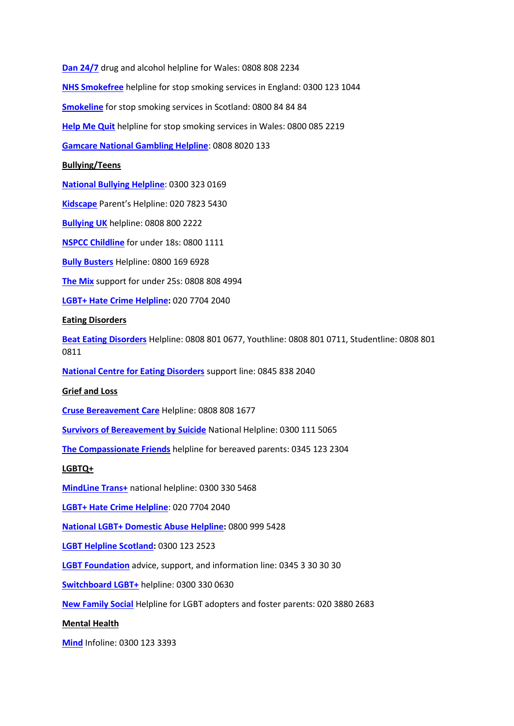**[Dan 24/7](https://dan247.org.uk/)** drug and alcohol helpline for Wales: 0808 808 2234 **[NHS Smokefree](https://www.nhs.uk/better-health/quit-smoking/find-your-local-stop-smoking-service/)** helpline for stop smoking services in England: 0300 123 1044 **[Smokeline](https://www.nhsinform.scot/healthy-living/stopping-smoking/help-to-stop/local-help)** for stop smoking services in Scotland: 0800 84 84 84 **[Help Me Quit](https://www.helpmequit.wales/)** helpline for stop smoking services in Wales: 0800 085 2219 **[Gamcare National Gambling Helpline](https://www.gamcare.org.uk/get-support/talk-to-us-now/)**: 0808 8020 133 **Bullying/Teens [National Bullying Helpline](https://www.nationalbullyinghelpline.co.uk/)**: 0300 323 0169 **[Kidscape](http://www.kidscape.org.uk/)** Parent's Helpline: 020 7823 5430 **[Bullying UK](https://www.bullying.co.uk/)** helpline: 0808 800 2222 **[NSPCC Childline](https://www.nspcc.org.uk/)** for under 18s: 0800 1111 **[Bully Busters](https://www.bullybusters.org.uk/)** Helpline: 0800 169 6928 **[The Mix](https://www.themix.org.uk/)** support for under 25s: 0808 808 4994 **[LGBT+ Hate Crime Helpline:](https://galop.org.uk/)** 020 7704 2040 **Eating Disorders [Beat Eating Disorders](https://www.beateatingdisorders.org.uk/get-information-and-support/get-help-for-myself/i-need-support-now/helplines/)** Helpline: 0808 801 0677, Youthline: 0808 801 0711, Studentline: 0808 801 0811 **[National Centre for Eating Disorders](https://eating-disorders.org.uk/)** support line: 0845 838 2040 **Grief and Loss [Cruse Bereavement Care](https://www.cruse.org.uk/get-help/helpline)** Helpline: 0808 808 1677 **[Survivors of Bereavement by Suicide](https://uksobs.org/)** National Helpline: 0300 111 5065 **[The Compassionate Friends](https://www.tcf.org.uk/)** helpline for bereaved parents: 0345 123 2304 **LGBTQ+ [MindLine Trans+](https://bristolmind.org.uk/help-and-support/mindline-transplus/)** national helpline: 0300 330 5468 **[LGBT+ Hate Crime Helpline](https://galop.org.uk/)**: 020 7704 2040 **[National LGBT+ Domestic Abuse Helpline:](https://galop.org.uk/)** 0800 999 5428 **[LGBT Helpline Scotland:](https://www.lgbthealth.org.uk/services-support/lgbt-helpline-scotland/helplines-and-lgbt-listings/)** 0300 123 2523 **[LGBT Foundation](http://www.lgbt.foundation/howwecanhelp)** advice, support, and information line: 0345 3 30 30 30 **[Switchboard LGBT+](https://switchboard.lgbt/)** helpline: 0300 330 0630 **[New Family Social](https://newfamilysocial.org.uk/nfs-contact-us)** Helpline for LGBT adopters and foster parents: 020 3880 2683 **Mental Health [Mind](https://www.mind.org.uk/information-support/helplines/)** Infoline: 0300 123 3393